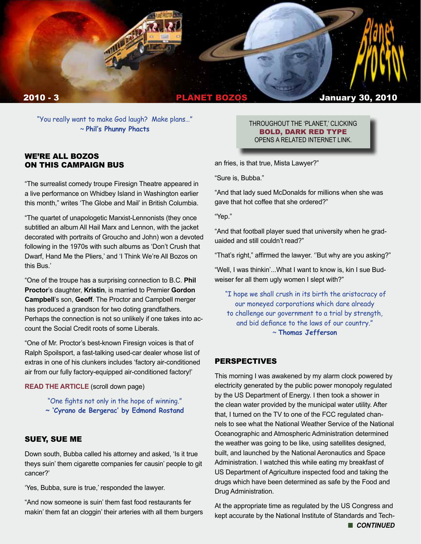

"You really want to make God laugh? Make plans…" ~ **Phil's Phunny Phacts**

## WE'RE ALL BOZOS ON THIS CAMPAIGN BUS

"The surrealist comedy troupe Firesign Theatre appeared in a live performance on Whidbey Island in Washington earlier this month," writes 'The Globe and Mail' in British Columbia.

"The quartet of unapologetic Marxist-Lennonists (they once subtitled an album All Hail Marx and Lennon, with the jacket decorated with portraits of Groucho and John) won a devoted following in the 1970s with such albums as 'Don't Crush that Dwarf, Hand Me the Pliers,' and 'I Think We're All Bozos on this Bus.'

"One of the troupe has a surprising connection to B.C. **Phil Proctor**'s daughter, **Kristin**, is married to Premier **Gordon Campbell**'s son, **Geoff**. The Proctor and Campbell merger has produced a grandson for two doting grandfathers. Perhaps the connection is not so unlikely if one takes into account the Social Credit roots of some Liberals.

"One of Mr. Proctor's best-known Firesign voices is that of Ralph Spoilsport, a fast-talking used-car dealer whose list of extras in one of his clunkers includes 'factory air-conditioned air from our fully factory-equipped air-conditioned factory!'

#### **[READ THE ARTICLE](http://www.theglobeandmail.com/news/national/british-columbia/at-90-robert-matula-a-forgotten-warrior-no-more/article1434471/)** (scroll down page)

- "One fights not only in the hope of winning."
- **~ 'Cyrano de Bergerac' by Edmond Rostand**

## SUEY, SUE ME

Down south, Bubba called his attorney and asked, 'Is it true theys suin' them cigarette companies fer causin' people to git cancer?'

'Yes, Bubba, sure is true,' responded the lawyer.

"And now someone is suin' them fast food restaurants fer makin' them fat an cloggin' their arteries with all them burgers

#### THROUGHOUT THE 'PLANET,' CLICKING BOLD, DARK RED TYPE OPENS A RELATED INTERNET LINK.

an fries, is that true, Mista Lawyer?"

"Sure is, Bubba."

"And that lady sued McDonalds for millions when she was gave that hot coffee that she ordered?"

"Yep."

"And that football player sued that university when he graduaided and still couldn't read?"

"That's right," affirmed the lawyer. ''But why are you asking?"

"Well, I was thinkin'...What I want to know is, kin I sue Budweiser fer all them ugly women I slept with?"

 "I hope we shall crush in its birth the aristocracy of our moneyed corporations which dare already to challenge our government to a trial by strength, and bid defiance to the laws of our country." ~ **Thomas Jefferson**

#### PERSPECTIVES

This morning I was awakened by my alarm clock powered by electricity generated by the public power monopoly regulated by the US Department of Energy. I then took a shower in the clean water provided by the municipal water utility. After that, I turned on the TV to one of the FCC regulated channels to see what the National Weather Service of the National Oceanographic and Atmospheric Administration determined the weather was going to be like, using satellites designed, built, and launched by the National Aeronautics and Space Administration. I watched this while eating my breakfast of US Department of Agriculture inspected food and taking the drugs which have been determined as safe by the Food and Drug Administration.

At the appropriate time as regulated by the US Congress and kept accurate by the National Institute of Standards and Tech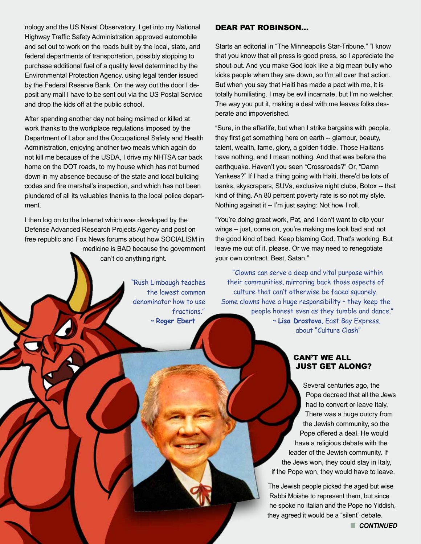nology and the US Naval Observatory, I get into my National Highway Traffic Safety Administration approved automobile and set out to work on the roads built by the local, state, and federal departments of transportation, possibly stopping to purchase additional fuel of a quality level determined by the Environmental Protection Agency, using legal tender issued by the Federal Reserve Bank. On the way out the door I deposit any mail I have to be sent out via the US Postal Service and drop the kids off at the public school.

After spending another day not being maimed or killed at work thanks to the workplace regulations imposed by the Department of Labor and the Occupational Safety and Health Administration, enjoying another two meals which again do not kill me because of the USDA, I drive my NHTSA car back home on the DOT roads, to my house which has not burned down in my absence because of the state and local building codes and fire marshal's inspection, and which has not been plundered of all its valuables thanks to the local police department.

I then log on to the Internet which was developed by the Defense Advanced Research Projects Agency and post on free republic and Fox News forums about how SOCIALISM in medicine is BAD because the government can't do anything right.

> "Rush Limbaugh teaches the lowest common denominator how to use fractions." ~ **Roger Ebert**

## DEAR PAT ROBINSON…

Starts an editorial in "The Minneapolis Star-Tribune." "I know that you know that all press is good press, so I appreciate the shout-out. And you make God look like a big mean bully who kicks people when they are down, so I'm all over that action. But when you say that Haiti has made a pact with me, it is totally humiliating. I may be evil incarnate, but I'm no welcher. The way you put it, making a deal with me leaves folks desperate and impoverished.

"Sure, in the afterlife, but when I strike bargains with people, they first get something here on earth -- glamour, beauty, talent, wealth, fame, glory, a golden fiddle. Those Haitians have nothing, and I mean nothing. And that was before the earthquake. Haven't you seen "Crossroads?" Or, "Damn Yankees?" If I had a thing going with Haiti, there'd be lots of banks, skyscrapers, SUVs, exclusive night clubs, Botox -- that kind of thing. An 80 percent poverty rate is so not my style. Nothing against it -- I'm just saying: Not how I roll.

"You're doing great work, Pat, and I don't want to clip your wings -- just, come on, you're making me look bad and not the good kind of bad. Keep blaming God. That's working. But leave me out of it, please. Or we may need to renegotiate your own contract. Best, Satan."

 "Clowns can serve a deep and vital purpose within their communities, mirroring back those aspects of culture that can't otherwise be faced squarely. Some clowns have a huge responsibility – they keep the people honest even as they tumble and dance." ~ **Lisa Drostova**, East Bay Express, about "Culture Clash"

# CAN'T WE ALL JUST GET ALONG?

Several centuries ago, the Pope decreed that all the Jews had to convert or leave Italy. There was a huge outcry from the Jewish community, so the Pope offered a deal. He would have a religious debate with the leader of the Jewish community. If the Jews won, they could stay in Italy, if the Pope won, they would have to leave.

The Jewish people picked the aged but wise Rabbi Moishe to represent them, but since he spoke no Italian and the Pope no Yiddish, they agreed it would be a "silent" debate.

**n** CONTINUED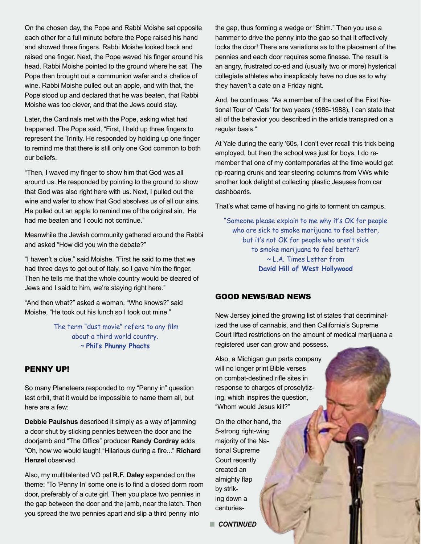On the chosen day, the Pope and Rabbi Moishe sat opposite each other for a full minute before the Pope raised his hand and showed three fingers. Rabbi Moishe looked back and raised one finger. Next, the Pope waved his finger around his head. Rabbi Moishe pointed to the ground where he sat. The Pope then brought out a communion wafer and a chalice of wine. Rabbi Moishe pulled out an apple, and with that, the Pope stood up and declared that he was beaten, that Rabbi Moishe was too clever, and that the Jews could stay.

Later, the Cardinals met with the Pope, asking what had happened. The Pope said, "First, I held up three fingers to represent the Trinity. He responded by holding up one finger to remind me that there is still only one God common to both our beliefs.

"Then, I waved my finger to show him that God was all around us. He responded by pointing to the ground to show that God was also right here with us. Next, I pulled out the wine and wafer to show that God absolves us of all our sins. He pulled out an apple to remind me of the original sin. He had me beaten and I could not continue."

Meanwhile the Jewish community gathered around the Rabbi and asked "How did you win the debate?"

"I haven't a clue," said Moishe. "First he said to me that we had three days to get out of Italy, so I gave him the finger. Then he tells me that the whole country would be cleared of Jews and I said to him, we're staying right here."

"And then what?" asked a woman. "Who knows?" said Moishe, "He took out his lunch so I took out mine."

> The term "dust movie" refers to any film about a third world country. ~ **Phil's Phunny Phacts**

## PENNY UP!

So many Planeteers responded to my "Penny in" question last orbit, that it would be impossible to name them all, but here are a few:

**Debbie Paulshus** described it simply as a way of jamming a door shut by sticking pennies between the door and the doorjamb and "The Office" producer **Randy Cordray** adds "Oh, how we would laugh! "Hilarious during a fire..." **Richard Henzel** observed.

Also, my multitalented VO pal **R.F. Daley** expanded on the theme: "To 'Penny In' some one is to find a closed dorm room door, preferably of a cute girl. Then you place two pennies in the gap between the door and the jamb, near the latch. Then you spread the two pennies apart and slip a third penny into

the gap, thus forming a wedge or "Shim." Then you use a hammer to drive the penny into the gap so that it effectively locks the door! There are variations as to the placement of the pennies and each door requires some finesse. The result is an angry, frustrated co-ed and (usually two or more) hysterical collegiate athletes who inexplicably have no clue as to why they haven't a date on a Friday night.

And, he continues, "As a member of the cast of the First National Tour of 'Cats' for two years (1986-1988), I can state that all of the behavior you described in the article transpired on a regular basis."

At Yale during the early '60s, I don't ever recall this trick being employed, but then the school was just for boys. I do remember that one of my contemporaries at the time would get rip-roaring drunk and tear steering columns from VWs while another took delight at collecting plastic Jesuses from car dashboards.

That's what came of having no girls to torment on campus.

"Someone please explain to me why it's OK for people who are sick to smoke marijuana to feel better, but it's not OK for people who aren't sick to smoke marijuana to feel better? ~ L.A. Times Letter from **David Hill of West Hollywood**

## GOOD NEWS/BAD NEWS

New Jersey joined the growing list of states that decriminalized the use of cannabis, and then California's Supreme Court lifted restrictions on the amount of medical marijuana a registered user can grow and possess.

Also, a Michigan gun parts company will no longer print Bible verses on combat-destined rifle sites in response to charges of proselytizing, which inspires the question, "Whom would Jesus kill?"

On the other hand, the 5-strong right-wing majority of the National Supreme Court recently created an almighty flap by striking down a centuries-

**n** CONTINUED